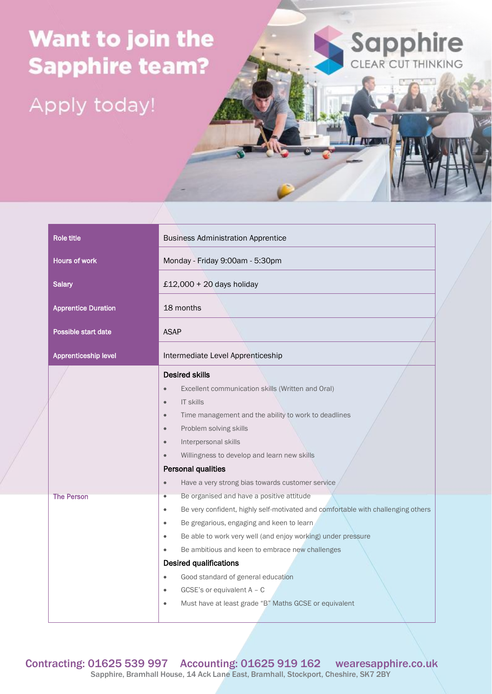## Want to join the **Sapphire team?**

Apply today!



IT **AVENUE** 

| <b>Role title</b>          | <b>Business Administration Apprentice</b>                                                     |  |  |
|----------------------------|-----------------------------------------------------------------------------------------------|--|--|
| <b>Hours of work</b>       | Monday - Friday 9:00am - 5:30pm                                                               |  |  |
| <b>Salary</b>              | £12,000 + 20 days holiday                                                                     |  |  |
| <b>Apprentice Duration</b> | 18 months                                                                                     |  |  |
| Possible start date        | <b>ASAP</b>                                                                                   |  |  |
| Apprenticeship level       | Intermediate Level Apprenticeship                                                             |  |  |
|                            | <b>Desired skills</b>                                                                         |  |  |
|                            | Excellent communication skills (Written and Oral)<br>$\bullet$                                |  |  |
|                            | <b>IT skills</b><br>$\bullet$                                                                 |  |  |
|                            | Time management and the ability to work to deadlines<br>$\bullet$                             |  |  |
|                            | Problem solving skills<br>$\bullet$                                                           |  |  |
|                            | Interpersonal skills<br>$\bullet$                                                             |  |  |
|                            | Willingness to develop and learn new skills                                                   |  |  |
|                            | <b>Personal qualities</b>                                                                     |  |  |
|                            | Have a very strong bias towards customer service<br>$\bullet$                                 |  |  |
| <b>The Person</b>          | Be organised and have a positive attitude<br>$\bullet$                                        |  |  |
|                            | Be very confident, highly self-motivated and comfortable with challenging others<br>$\bullet$ |  |  |
|                            | Be gregarious, engaging and keen to learn<br>$\bullet$                                        |  |  |
|                            | Be able to work very well (and enjoy working) under pressure<br>$\bullet$                     |  |  |
|                            | Be ambitious and keen to embrace new challenges<br>$\bullet$                                  |  |  |
|                            | <b>Desired qualifications</b>                                                                 |  |  |
|                            | Good standard of general education<br>$\bullet$                                               |  |  |
|                            | GCSE's or equivalent $A - C$<br>$\bullet$                                                     |  |  |
|                            | Must have at least grade "B" Maths GCSE or equivalent<br>$\bullet$                            |  |  |

Contracting: 01625 539 997 Accounting: 01625 919 162 wearesapphire.co.uk Sapphire, Bramhall House, 14 Ack Lane East, Bramhall, Stockport, Cheshire, SK7 2BY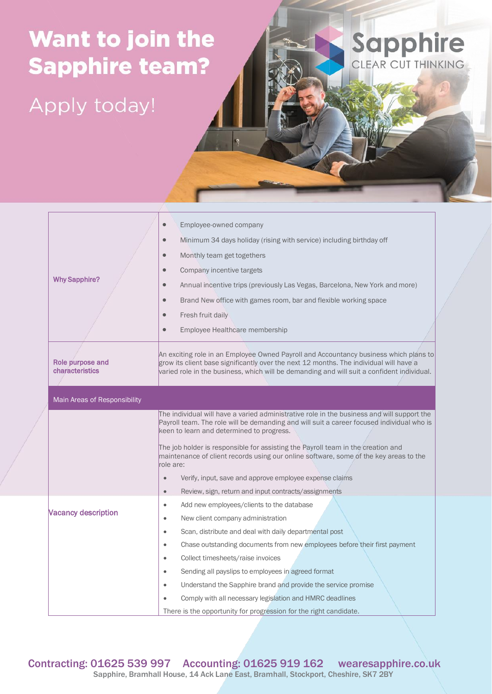## Want to join the **Sapphire team?**

Apply today!

|                                     |                                                                                                                                                                                                                                                                               | Employee-owned company                                                                                                                                                    |  |
|-------------------------------------|-------------------------------------------------------------------------------------------------------------------------------------------------------------------------------------------------------------------------------------------------------------------------------|---------------------------------------------------------------------------------------------------------------------------------------------------------------------------|--|
|                                     |                                                                                                                                                                                                                                                                               | Minimum 34 days holiday (rising with service) including birthday off                                                                                                      |  |
|                                     | $\bullet$                                                                                                                                                                                                                                                                     | Monthly team get togethers                                                                                                                                                |  |
|                                     | $\bullet$                                                                                                                                                                                                                                                                     | Company incentive targets                                                                                                                                                 |  |
| <b>Why Sapphire?</b>                | $\bullet$                                                                                                                                                                                                                                                                     | Annual incentive trips (previously Las Vegas, Barcelona, New York and more)                                                                                               |  |
|                                     | $\bullet$                                                                                                                                                                                                                                                                     | Brand New office with games room, bar and flexible working space                                                                                                          |  |
|                                     | $\bullet$                                                                                                                                                                                                                                                                     | Fresh fruit daily                                                                                                                                                         |  |
|                                     | $\bullet$                                                                                                                                                                                                                                                                     | Employee Healthcare membership                                                                                                                                            |  |
|                                     |                                                                                                                                                                                                                                                                               |                                                                                                                                                                           |  |
| Role purpose and<br>characteristics | An exciting role in an Employee Owned Payroll and Accountancy business which plans to<br>grow its client base significantly over the next 12 months. The individual will have a<br>varied role in the business, which will be demanding and will suit a confident individual. |                                                                                                                                                                           |  |
|                                     |                                                                                                                                                                                                                                                                               |                                                                                                                                                                           |  |
| Main Areas of Responsibility        |                                                                                                                                                                                                                                                                               |                                                                                                                                                                           |  |
|                                     | The individual will have a varied administrative role in the business and will support the<br>Payroll team. The role will be demanding and will suit a career focused individual who is<br>keen to learn and determined to progress.                                          |                                                                                                                                                                           |  |
|                                     | role are:                                                                                                                                                                                                                                                                     | The job holder is responsible for assisting the Payroll team in the creation and<br>maintenance of client records using our online software, some of the key areas to the |  |
|                                     | $\bullet$                                                                                                                                                                                                                                                                     | Verify, input, save and approve employee expense claims                                                                                                                   |  |
|                                     | $\bullet$                                                                                                                                                                                                                                                                     | Review, sign, return and input contracts/assignments                                                                                                                      |  |
|                                     | $\bullet$                                                                                                                                                                                                                                                                     | Add new employees/clients to the database                                                                                                                                 |  |
| <b>Vacancy description</b>          | $\bullet$                                                                                                                                                                                                                                                                     | New client company administration                                                                                                                                         |  |
|                                     | $\bullet$                                                                                                                                                                                                                                                                     | Scan, distribute and deal with daily departmental post                                                                                                                    |  |
|                                     | $\bullet$                                                                                                                                                                                                                                                                     | Chase outstanding documents from new employees before their first payment                                                                                                 |  |
|                                     | $\bullet$                                                                                                                                                                                                                                                                     | Collect timesheets/raise invoices                                                                                                                                         |  |
|                                     | $\bullet$                                                                                                                                                                                                                                                                     | Sending all payslips to employees in agreed format                                                                                                                        |  |
|                                     | $\bullet$                                                                                                                                                                                                                                                                     | Understand the Sapphire brand and provide the service promise                                                                                                             |  |
|                                     |                                                                                                                                                                                                                                                                               | Comply with all necessary legislation and HMRC deadlines                                                                                                                  |  |
|                                     |                                                                                                                                                                                                                                                                               | There is the opportunity for progression for the right candidate.                                                                                                         |  |

**Sapphire** 

Contracting: 01625 539 997 Accounting: 01625 919 162 wearesapphire.co.uk Sapphire, Bramhall House, 14 Ack Lane East, Bramhall, Stockport, Cheshire, SK7 2BY